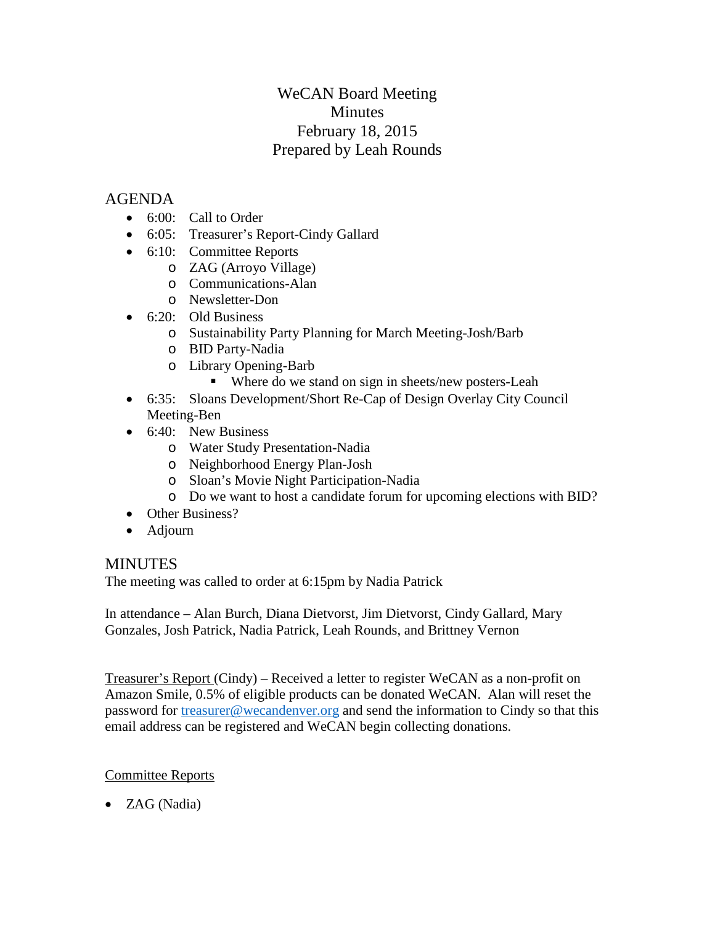# WeCAN Board Meeting Minutes February 18, 2015 Prepared by Leah Rounds

## AGENDA

- 6:00: Call to Order
- 6:05: Treasurer's Report-Cindy Gallard
- 6:10: Committee Reports
	- o ZAG (Arroyo Village)
	- o Communications-Alan
	- o Newsletter-Don
- $\bullet$  6:20: Old Business
	- o Sustainability Party Planning for March Meeting-Josh/Barb
	- o BID Party-Nadia
	- o Library Opening-Barb
		- Where do we stand on sign in sheets/new posters-Leah
- 6:35: Sloans Development/Short Re-Cap of Design Overlay City Council Meeting-Ben
- 6:40: New Business
	- o Water Study Presentation-Nadia
	- o Neighborhood Energy Plan-Josh
	- o Sloan's Movie Night Participation-Nadia
	- o Do we want to host a candidate forum for upcoming elections with BID?
- Other Business?
- Adjourn

## MINUTES

The meeting was called to order at 6:15pm by Nadia Patrick

In attendance – Alan Burch, Diana Dietvorst, Jim Dietvorst, Cindy Gallard, Mary Gonzales, Josh Patrick, Nadia Patrick, Leah Rounds, and Brittney Vernon

Treasurer's Report (Cindy) – Received a letter to register WeCAN as a non-profit on Amazon Smile, 0.5% of eligible products can be donated WeCAN. Alan will reset the password for [treasurer@wecandenver.org](mailto:treasurer@wecandenver.org) and send the information to Cindy so that this email address can be registered and WeCAN begin collecting donations.

## Committee Reports

• ZAG (Nadia)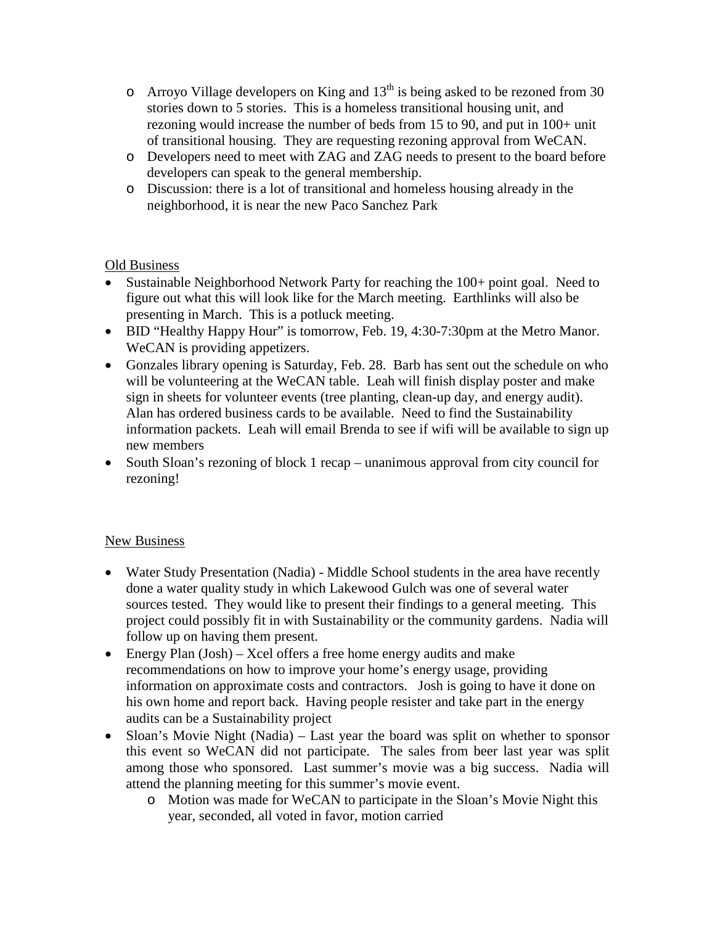- o Arroyo Village developers on King and  $13<sup>th</sup>$  is being asked to be rezoned from 30 stories down to 5 stories. This is a homeless transitional housing unit, and rezoning would increase the number of beds from 15 to 90, and put in 100+ unit of transitional housing. They are requesting rezoning approval from WeCAN.
- o Developers need to meet with ZAG and ZAG needs to present to the board before developers can speak to the general membership.
- o Discussion: there is a lot of transitional and homeless housing already in the neighborhood, it is near the new Paco Sanchez Park

#### Old Business

- Sustainable Neighborhood Network Party for reaching the 100+ point goal. Need to figure out what this will look like for the March meeting. Earthlinks will also be presenting in March. This is a potluck meeting.
- BID "Healthy Happy Hour" is tomorrow, Feb. 19, 4:30-7:30pm at the Metro Manor. WeCAN is providing appetizers.
- Gonzales library opening is Saturday, Feb. 28. Barb has sent out the schedule on who will be volunteering at the WeCAN table. Leah will finish display poster and make sign in sheets for volunteer events (tree planting, clean-up day, and energy audit). Alan has ordered business cards to be available. Need to find the Sustainability information packets. Leah will email Brenda to see if wifi will be available to sign up new members
- South Sloan's rezoning of block 1 recap unanimous approval from city council for rezoning!

#### New Business

- Water Study Presentation (Nadia) Middle School students in the area have recently done a water quality study in which Lakewood Gulch was one of several water sources tested. They would like to present their findings to a general meeting. This project could possibly fit in with Sustainability or the community gardens. Nadia will follow up on having them present.
- Energy Plan (Josh) Xcel offers a free home energy audits and make recommendations on how to improve your home's energy usage, providing information on approximate costs and contractors. Josh is going to have it done on his own home and report back. Having people resister and take part in the energy audits can be a Sustainability project
- Sloan's Movie Night (Nadia) Last year the board was split on whether to sponsor this event so WeCAN did not participate. The sales from beer last year was split among those who sponsored. Last summer's movie was a big success. Nadia will attend the planning meeting for this summer's movie event.
	- o Motion was made for WeCAN to participate in the Sloan's Movie Night this year, seconded, all voted in favor, motion carried